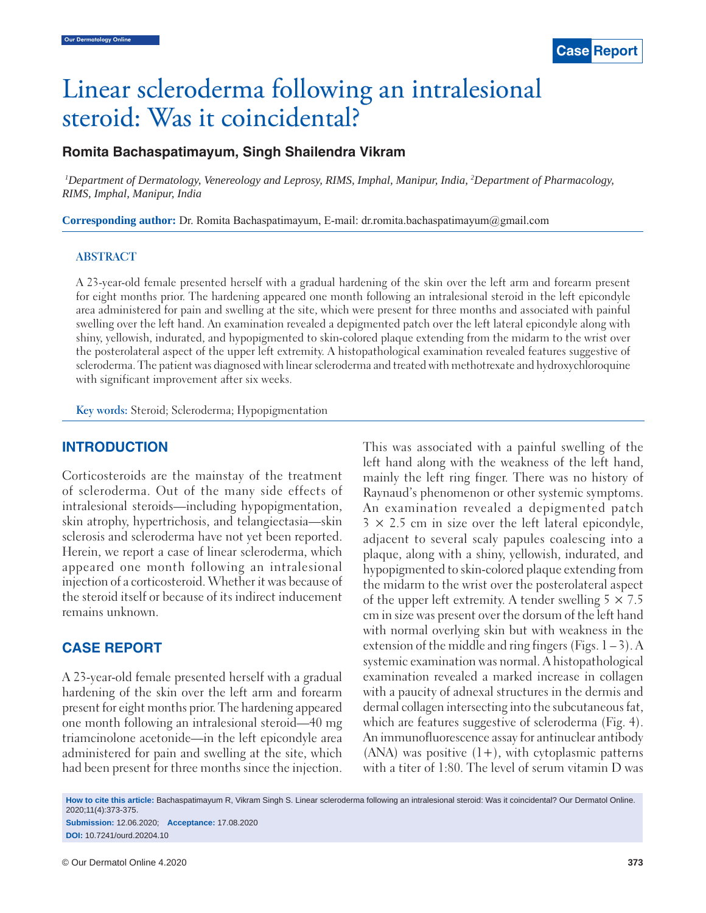# Linear scleroderma following an intralesional steroid: Was it coincidental?

# **Romita Bachaspatimayum, Singh Shailendra Vikram**

*1 Department of Dermatology, Venereology and Leprosy, RIMS, Imphal, Manipur, India, 2 Department of Pharmacology, RIMS, Imphal, Manipur, India*

**Corresponding author:** Dr. Romita Bachaspatimayum, E-mail: dr.romita.bachaspatimayum@gmail.com

### **ABSTRACT**

A 23-year-old female presented herself with a gradual hardening of the skin over the left arm and forearm present for eight months prior. The hardening appeared one month following an intralesional steroid in the left epicondyle area administered for pain and swelling at the site, which were present for three months and associated with painful swelling over the left hand. An examination revealed a depigmented patch over the left lateral epicondyle along with shiny, yellowish, indurated, and hypopigmented to skin-colored plaque extending from the midarm to the wrist over the posterolateral aspect of the upper left extremity. A histopathological examination revealed features suggestive of scleroderma. The patient was diagnosed with linear scleroderma and treated with methotrexate and hydroxychloroquine with significant improvement after six weeks.

**Key words:** Steroid; Scleroderma; Hypopigmentation

## **INTRODUCTION**

Corticosteroids are the mainstay of the treatment of scleroderma. Out of the many side effects of intralesional steroids—including hypopigmentation, skin atrophy, hypertrichosis, and telangiectasia—skin sclerosis and scleroderma have not yet been reported. Herein, we report a case of linear scleroderma, which appeared one month following an intralesional injection of a corticosteroid. Whether it was because of the steroid itself or because of its indirect inducement remains unknown.

## **CASE REPORT**

A 23-year-old female presented herself with a gradual hardening of the skin over the left arm and forearm present for eight months prior. The hardening appeared one month following an intralesional steroid—40 mg triamcinolone acetonide—in the left epicondyle area administered for pain and swelling at the site, which had been present for three months since the injection. This was associated with a painful swelling of the left hand along with the weakness of the left hand, mainly the left ring finger. There was no history of Raynaud's phenomenon or other systemic symptoms. An examination revealed a depigmented patch  $3 \times 2.5$  cm in size over the left lateral epicondyle, adjacent to several scaly papules coalescing into a plaque, along with a shiny, yellowish, indurated, and hypopigmented to skin-colored plaque extending from the midarm to the wrist over the posterolateral aspect of the upper left extremity. A tender swelling  $5 \times 7.5$ cm in size was present over the dorsum of the left hand with normal overlying skin but with weakness in the extension of the middle and ring fingers (Figs.  $1 - 3$ ). A systemic examination was normal. A histopathological examination revealed a marked increase in collagen with a paucity of adnexal structures in the dermis and dermal collagen intersecting into the subcutaneous fat, which are features suggestive of scleroderma (Fig. 4). An immunofluorescence assay for antinuclear antibody (ANA) was positive  $(1+)$ , with cytoplasmic patterns with a titer of 1:80. The level of serum vitamin D was

**How to cite this article:** Bachaspatimayum R, Vikram Singh S. Linear scleroderma following an intralesional steroid: Was it coincidental? Our Dermatol Online. 2020;11(4):373-375.

**Submission:** 12.06.2020; **Acceptance:** 17.08.2020 **DOI:** 10.7241/ourd.20204.10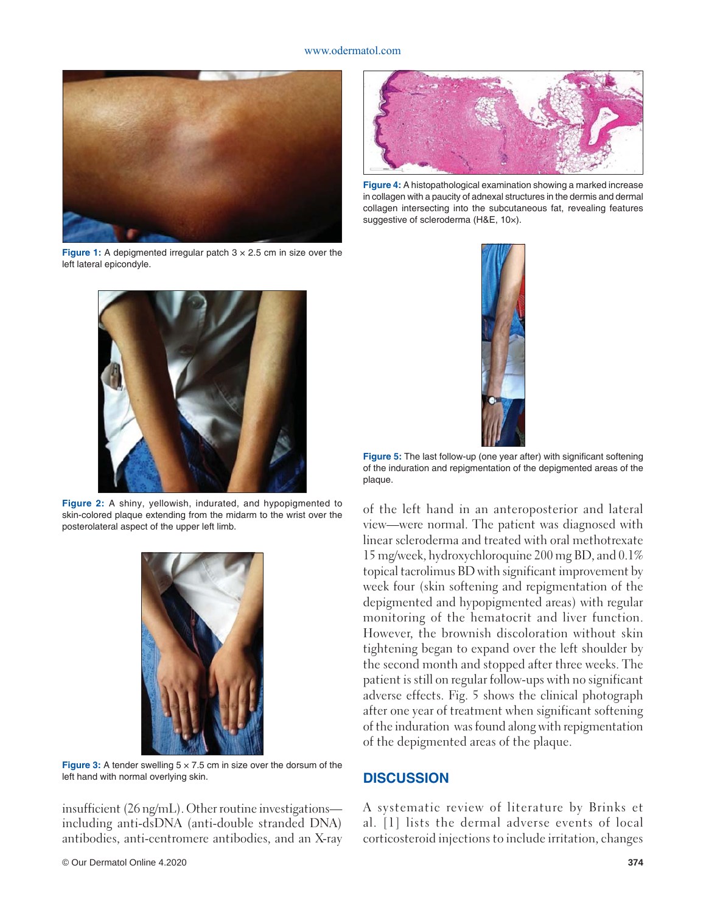#### www.odermatol.com



**Figure 1:** A depigmented irregular patch  $3 \times 2.5$  cm in size over the left lateral epicondyle.



**Figure 2:** A shiny, yellowish, indurated, and hypopigmented to skin-colored plaque extending from the midarm to the wrist over the posterolateral aspect of the upper left limb.



**Figure 3:** A tender swelling  $5 \times 7.5$  cm in size over the dorsum of the left hand with normal overlying skin.

insufficient (26 ng/mL). Other routine investigations including anti-dsDNA (anti-double stranded DNA) antibodies, anti-centromere antibodies, and an X-ray



**Figure 4:** A histopathological examination showing a marked increase in collagen with a paucity of adnexal structures in the dermis and dermal collagen intersecting into the subcutaneous fat, revealing features suggestive of scleroderma (H&E, 10×).



**Figure 5:** The last follow-up (one year after) with significant softening of the induration and repigmentation of the depigmented areas of the plaque.

of the left hand in an anteroposterior and lateral view—were normal. The patient was diagnosed with linear scleroderma and treated with oral methotrexate 15 mg/week, hydroxychloroquine 200 mg BD, and 0.1% topical tacrolimus BD with significant improvement by week four (skin softening and repigmentation of the depigmented and hypopigmented areas) with regular monitoring of the hematocrit and liver function. However, the brownish discoloration without skin tightening began to expand over the left shoulder by the second month and stopped after three weeks. The patient is still on regular follow-ups with no significant adverse effects. Fig. 5 shows the clinical photograph after one year of treatment when significant softening of the induration was found along with repigmentation of the depigmented areas of the plaque.

## **DISCUSSION**

A systematic review of literature by Brinks et al. [1] lists the dermal adverse events of local corticosteroid injections to include irritation, changes